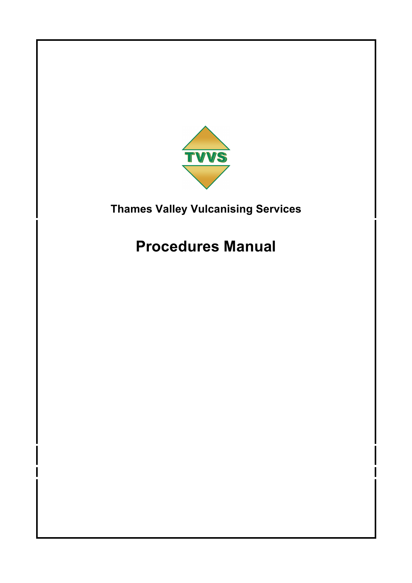

# **Procedures Manual**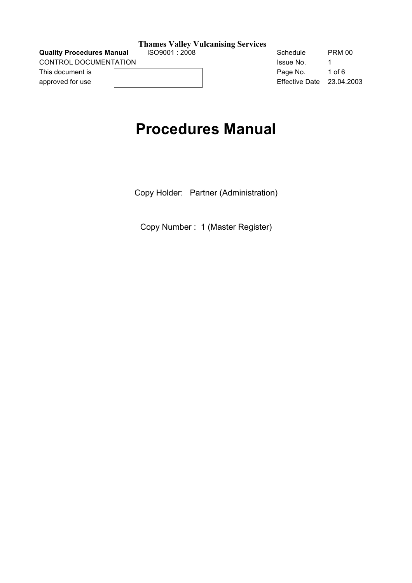**Quality Procedures Manual**  $1$  **ISO9001 : 2008** Schedule PRM 00

#### **Thames Valley Vulcanising Services**

CONTROL DOCUMENTATION GENERAL BROOM ISSUE NO. 1 approved for use and the contract of the contract of the Effective Date 23.04.2003

This document is **EXECUTE:** Page No. 1 of 6

## **Procedures Manual**

Copy Holder: Partner (Administration)

Copy Number : 1 (Master Register)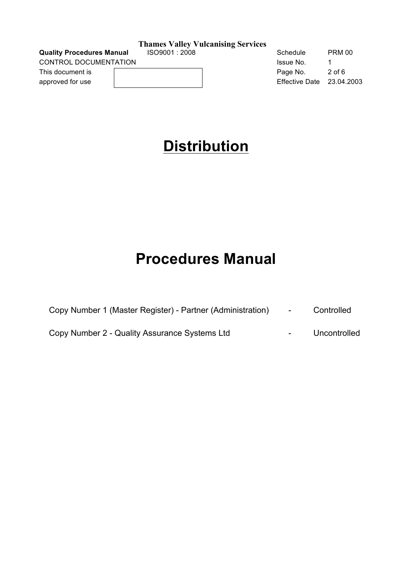**Quality Procedures Manual**  $1$  **ISO9001 : 2008** Schedule PRM 00 CONTROL DOCUMENTATION

This document is approved for use

#### **Thames Valley Vulcanising Services**

| Schedule       | PRM 00     |
|----------------|------------|
| Issue No.      | 1          |
| Page No.       | $2$ of 6   |
| Effective Date | 23.04.2003 |

## **Distribution**

# **Procedures Manual**

| Copy Number 1 (Master Register) - Partner (Administration) | Controlled |
|------------------------------------------------------------|------------|
|                                                            |            |

Copy Number 2 - Quality Assurance Systems Ltd **Formula** - Uncontrolled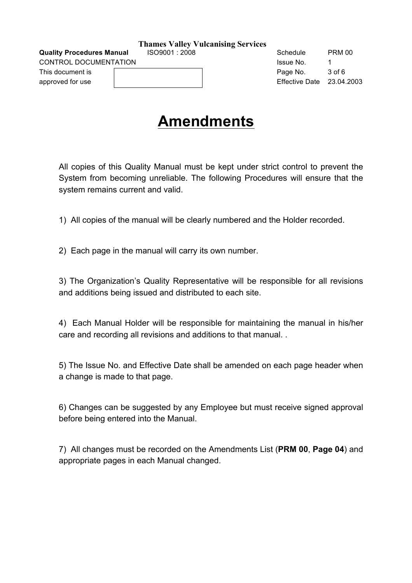**Quality Procedures Manual**  $1$  **ISO9001 : 2008** Schedule PRM 00 CONTROL DOCUMENTATION **ISSUE NO.** 1

| <b>Thames Valley Vulcanising Services</b> |
|-------------------------------------------|
|-------------------------------------------|

This document is **Page No.** 3 of 6

approved for use Effective Date 23.04.2003

# **Amendments**

All copies of this Quality Manual must be kept under strict control to prevent the System from becoming unreliable. The following Procedures will ensure that the system remains current and valid.

1) All copies of the manual will be clearly numbered and the Holder recorded.

2) Each page in the manual will carry its own number.

3) The Organization's Quality Representative will be responsible for all revisions and additions being issued and distributed to each site.

4) Each Manual Holder will be responsible for maintaining the manual in his/her care and recording all revisions and additions to that manual. .

5) The Issue No. and Effective Date shall be amended on each page header when a change is made to that page.

6) Changes can be suggested by any Employee but must receive signed approval before being entered into the Manual.

7) All changes must be recorded on the Amendments List (**PRM 00**, **Page 04**) and appropriate pages in each Manual changed.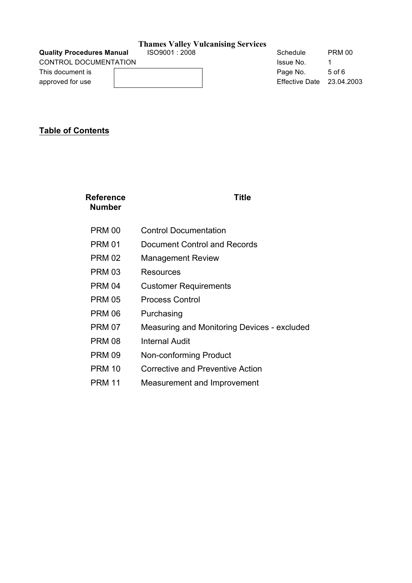CONTROL DOCUMENTATION GENERAL BROOM ISSUE NO. 1

## **Thames Valley Vulcanising Services**

**Quality Procedures Manual**  $1$  **ISO9001 : 2008** Schedule PRM 00

This document is a community of the Page No. 5 of 6 approved for use Effective Date 23.04.2003

## **Table of Contents**

| Reference<br>Number | Title                                       |
|---------------------|---------------------------------------------|
| <b>PRM 00</b>       | <b>Control Documentation</b>                |
| PRM 01              | Document Control and Records                |
| <b>PRM 02</b>       | <b>Management Review</b>                    |
| <b>PRM 03</b>       | Resources                                   |
| <b>PRM 04</b>       | <b>Customer Requirements</b>                |
| <b>PRM 05</b>       | <b>Process Control</b>                      |
| <b>PRM 06</b>       | Purchasing                                  |
| <b>PRM 07</b>       | Measuring and Monitoring Devices - excluded |
| <b>PRM 08</b>       | <b>Internal Audit</b>                       |
| <b>PRM 09</b>       | Non-conforming Product                      |
| <b>PRM 10</b>       | <b>Corrective and Preventive Action</b>     |
| <b>PRM 11</b>       | Measurement and Improvement                 |
|                     |                                             |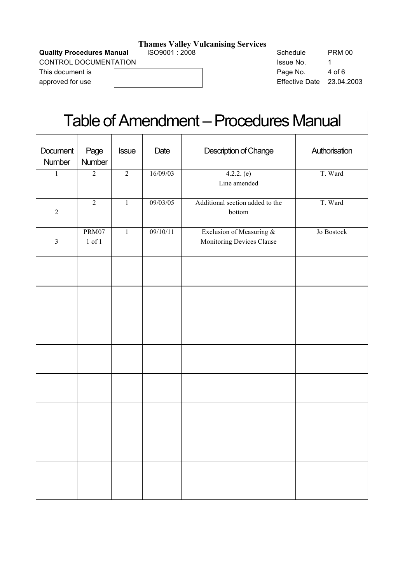**Quality Procedures Manual**  $1$  **ISO9001 : 2008** Schedule PRM 00

CONTROL DOCUMENT.

| <b>CONTROL DOCUMENTATION</b> |  |  |  |
|------------------------------|--|--|--|
| This document is             |  |  |  |
| approved for use             |  |  |  |

| PRM 00     |
|------------|
|            |
| 4 of 6     |
| 23.04.2003 |
|            |

| <b>Table of Amendment - Procedures Manual</b> |                     |              |          |                                                       |               |
|-----------------------------------------------|---------------------|--------------|----------|-------------------------------------------------------|---------------|
| Document<br>Number                            | Page<br>Number      | <b>Issue</b> | Date     | Description of Change                                 | Authorisation |
| 1                                             | $\overline{c}$      | $\sqrt{2}$   | 16/09/03 | $4.2.2.$ (e)<br>Line amended                          | T. Ward       |
| $\overline{2}$                                | $\overline{2}$      | $\mathbf{1}$ | 09/03/05 | Additional section added to the<br>bottom             | T. Ward       |
| $\overline{3}$                                | PRM07<br>$1$ of $1$ | $\mathbf{1}$ | 09/10/11 | Exclusion of Measuring &<br>Monitoring Devices Clause | Jo Bostock    |
|                                               |                     |              |          |                                                       |               |
|                                               |                     |              |          |                                                       |               |
|                                               |                     |              |          |                                                       |               |
|                                               |                     |              |          |                                                       |               |
|                                               |                     |              |          |                                                       |               |
|                                               |                     |              |          |                                                       |               |
|                                               |                     |              |          |                                                       |               |
|                                               |                     |              |          |                                                       |               |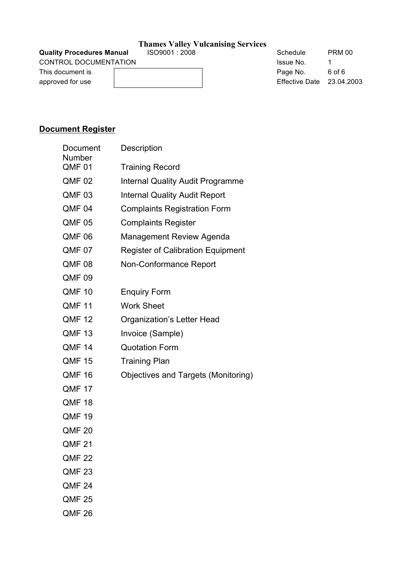**Quality Procedures Manual ISO9001 : 2008** Schedule PRM 00

|  | <b>Thames Valley Vulcanising Services</b> |  |
|--|-------------------------------------------|--|
|  |                                           |  |

CONTROL DOCUMENTATION GENERAL BROOM ISSUE NO. 1

This document is **EXECUTE:** Page No. 6 of 6 approved for use and the contract of the contract of the Effective Date 23.04.2003

## **Document Register**

| Document<br>Number | Description                                |
|--------------------|--------------------------------------------|
| QMF <sub>01</sub>  | <b>Training Record</b>                     |
| QMF 02             | <b>Internal Quality Audit Programme</b>    |
| QMF 03             | <b>Internal Quality Audit Report</b>       |
| QMF <sub>04</sub>  | <b>Complaints Registration Form</b>        |
| QMF 05             | <b>Complaints Register</b>                 |
| <b>QMF 06</b>      | <b>Management Review Agenda</b>            |
| QMF <sub>07</sub>  | <b>Register of Calibration Equipment</b>   |
| <b>QMF 08</b>      | Non-Conformance Report                     |
| QMF <sub>09</sub>  |                                            |
| <b>QMF 10</b>      | <b>Enquiry Form</b>                        |
| <b>QMF 11</b>      | <b>Work Sheet</b>                          |
| <b>QMF 12</b>      | Organization's Letter Head                 |
| QMF <sub>13</sub>  | Invoice (Sample)                           |
| <b>QMF 14</b>      | <b>Quotation Form</b>                      |
| <b>QMF 15</b>      | <b>Training Plan</b>                       |
| QMF 16             | <b>Objectives and Targets (Monitoring)</b> |
| QMF 17             |                                            |
| <b>QMF 18</b>      |                                            |
| <b>QMF 19</b>      |                                            |
| <b>QMF 20</b>      |                                            |
| <b>QMF 21</b>      |                                            |
| <b>QMF 22</b>      |                                            |
| QMF <sub>23</sub>  |                                            |
| QMF <sub>24</sub>  |                                            |
| <b>QMF 25</b>      |                                            |
| <b>QMF 26</b>      |                                            |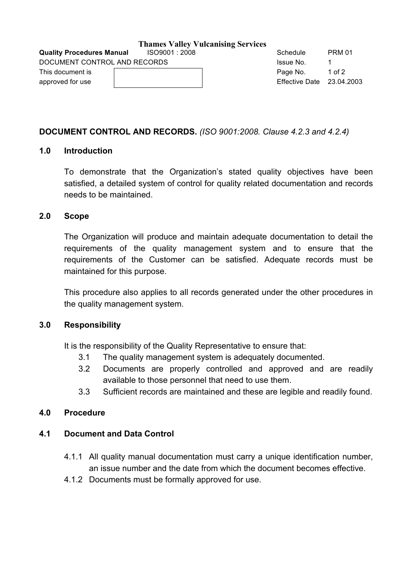| <b>Quality Procedures Manual</b> | ISO9001:2008 | Schedule                  | <b>PRM 01</b> |
|----------------------------------|--------------|---------------------------|---------------|
| DOCUMENT CONTROL AND RECORDS     |              | Issue No.                 |               |
| This document is                 |              | Page No.                  | 1 of $2$      |
| approved for use                 |              | Effective Date 23.04.2003 |               |
|                                  |              |                           |               |

## **DOCUMENT CONTROL AND RECORDS.** *(ISO 9001:2008. Clause 4.2.3 and 4.2.4)*

## **1.0 Introduction**

To demonstrate that the Organization's stated quality objectives have been satisfied, a detailed system of control for quality related documentation and records needs to be maintained.

#### **2.0 Scope**

The Organization will produce and maintain adequate documentation to detail the requirements of the quality management system and to ensure that the requirements of the Customer can be satisfied. Adequate records must be maintained for this purpose.

This procedure also applies to all records generated under the other procedures in the quality management system.

## **3.0 Responsibility**

It is the responsibility of the Quality Representative to ensure that:

- 3.1 The quality management system is adequately documented.
- 3.2 Documents are properly controlled and approved and are readily available to those personnel that need to use them.
- 3.3 Sufficient records are maintained and these are legible and readily found.

## **4.0 Procedure**

## **4.1 Document and Data Control**

- 4.1.1 All quality manual documentation must carry a unique identification number, an issue number and the date from which the document becomes effective.
- 4.1.2 Documents must be formally approved for use.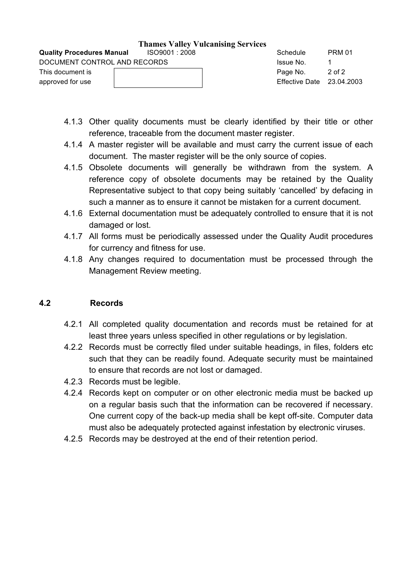|                                  |              | THANKS VANCY VARAMISING SUIVRUS |                             |               |
|----------------------------------|--------------|---------------------------------|-----------------------------|---------------|
| <b>Quality Procedures Manual</b> | ISO9001:2008 |                                 | Schedule                    | <b>PRM 01</b> |
| DOCUMENT CONTROL AND RECORDS     |              |                                 | Issue No.                   |               |
| This document is                 |              |                                 | Page No.                    | 2 of 2        |
| approved for use                 |              |                                 | Effective Date $23.04.2003$ |               |

- 4.1.3 Other quality documents must be clearly identified by their title or other reference, traceable from the document master register.
- 4.1.4 A master register will be available and must carry the current issue of each document. The master register will be the only source of copies.
- 4.1.5 Obsolete documents will generally be withdrawn from the system. A reference copy of obsolete documents may be retained by the Quality Representative subject to that copy being suitably 'cancelled' by defacing in such a manner as to ensure it cannot be mistaken for a current document.
- 4.1.6 External documentation must be adequately controlled to ensure that it is not damaged or lost.
- 4.1.7 All forms must be periodically assessed under the Quality Audit procedures for currency and fitness for use.
- 4.1.8 Any changes required to documentation must be processed through the Management Review meeting.

## **4.2 Records**

- 4.2.1 All completed quality documentation and records must be retained for at least three years unless specified in other regulations or by legislation.
- 4.2.2 Records must be correctly filed under suitable headings, in files, folders etc such that they can be readily found. Adequate security must be maintained to ensure that records are not lost or damaged.
- 4.2.3 Records must be legible.
- 4.2.4 Records kept on computer or on other electronic media must be backed up on a regular basis such that the information can be recovered if necessary. One current copy of the back-up media shall be kept off-site. Computer data must also be adequately protected against infestation by electronic viruses.
- 4.2.5 Records may be destroyed at the end of their retention period.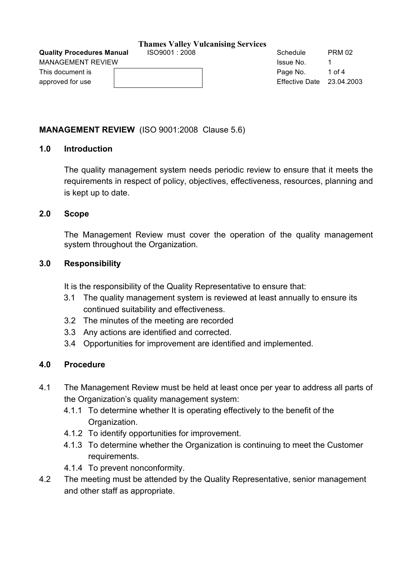**Quality Procedures Manual**  $1$  **ISO9001 : 2008** Schedule PRM 02

## **Thames Valley Vulcanising Services**

This document is **Example 2** of 4 and 2 of 4 and 2 of 4 and 2 of 4 and 2 of 4 and 2 of 4 and 2 of 4 and 2 of 4 and 2 of 4 and 2 of 4 and 2 of 4 and 2 of 4 and 2 of 4 and 2 of 4 and 2 of 4 and 2 of 4 and 2 of 4 and 2 of 4 a

## **MANAGEMENT REVIEW** (ISO 9001:2008 Clause 5.6)

## **1.0 Introduction**

The quality management system needs periodic review to ensure that it meets the requirements in respect of policy, objectives, effectiveness, resources, planning and is kept up to date.

## **2.0 Scope**

The Management Review must cover the operation of the quality management system throughout the Organization.

## **3.0 Responsibility**

It is the responsibility of the Quality Representative to ensure that:

- 3.1 The quality management system is reviewed at least annually to ensure its continued suitability and effectiveness.
- 3.2 The minutes of the meeting are recorded
- 3.3 Any actions are identified and corrected.
- 3.4 Opportunities for improvement are identified and implemented.

## **4.0 Procedure**

- 4.1 The Management Review must be held at least once per year to address all parts of the Organization's quality management system:
	- 4.1.1 To determine whether It is operating effectively to the benefit of the Organization.
	- 4.1.2 To identify opportunities for improvement.
	- 4.1.3 To determine whether the Organization is continuing to meet the Customer requirements.
	- 4.1.4 To prevent nonconformity.
- 4.2 The meeting must be attended by the Quality Representative, senior management and other staff as appropriate.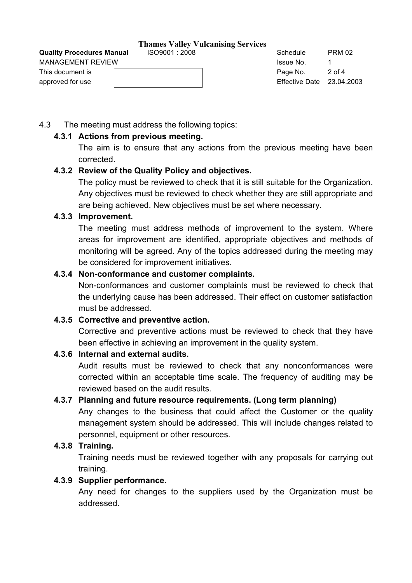| <b>MANAGEMENT REVIEW</b> | Issue No.                   |        |
|--------------------------|-----------------------------|--------|
| This document is         | Page No.                    | 2 of 4 |
| approved for use         | Effective Date $23.04.2003$ |        |

**Quality Procedures Manual**  $1$  **ISO9001 : 2008** Schedule PRM 02

4.3 The meeting must address the following topics:

## **4.3.1 Actions from previous meeting.**

The aim is to ensure that any actions from the previous meeting have been corrected.

## **4.3.2 Review of the Quality Policy and objectives.**

The policy must be reviewed to check that it is still suitable for the Organization. Any objectives must be reviewed to check whether they are still appropriate and are being achieved. New objectives must be set where necessary.

## **4.3.3 Improvement.**

The meeting must address methods of improvement to the system. Where areas for improvement are identified, appropriate objectives and methods of monitoring will be agreed. Any of the topics addressed during the meeting may be considered for improvement initiatives.

## **4.3.4 Non-conformance and customer complaints.**

Non-conformances and customer complaints must be reviewed to check that the underlying cause has been addressed. Their effect on customer satisfaction must be addressed.

## **4.3.5 Corrective and preventive action.**

Corrective and preventive actions must be reviewed to check that they have been effective in achieving an improvement in the quality system.

## **4.3.6 Internal and external audits.**

Audit results must be reviewed to check that any nonconformances were corrected within an acceptable time scale. The frequency of auditing may be reviewed based on the audit results.

## **4.3.7 Planning and future resource requirements. (Long term planning)**

Any changes to the business that could affect the Customer or the quality management system should be addressed. This will include changes related to personnel, equipment or other resources.

## **4.3.8 Training.**

Training needs must be reviewed together with any proposals for carrying out training.

## **4.3.9 Supplier performance.**

Any need for changes to the suppliers used by the Organization must be addressed.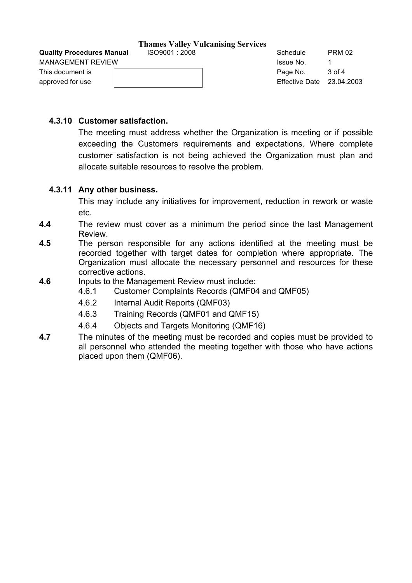This document is **Page No.** 3 of 4 approved for use Theorem 23.04.2003

**Quality Procedures Manual**  $1$  **ISO9001 : 2008** Schedule PRM 02 MANAGEMENT REVIEW **ISSUE 2008** No. 1 1

## **4.3.10 Customer satisfaction.**

The meeting must address whether the Organization is meeting or if possible exceeding the Customers requirements and expectations. Where complete customer satisfaction is not being achieved the Organization must plan and allocate suitable resources to resolve the problem.

## **4.3.11 Any other business.**

This may include any initiatives for improvement, reduction in rework or waste etc.

- **4.4** The review must cover as a minimum the period since the last Management Review.
- **4.5** The person responsible for any actions identified at the meeting must be recorded together with target dates for completion where appropriate. The Organization must allocate the necessary personnel and resources for these corrective actions.
- **4.6** Inputs to the Management Review must include:
	- 4.6.1 Customer Complaints Records (QMF04 and QMF05)
	- 4.6.2 Internal Audit Reports (QMF03)
	- 4.6.3 Training Records (QMF01 and QMF15)
	- 4.6.4 Objects and Targets Monitoring (QMF16)
- **4.7** The minutes of the meeting must be recorded and copies must be provided to all personnel who attended the meeting together with those who have actions placed upon them (QMF06).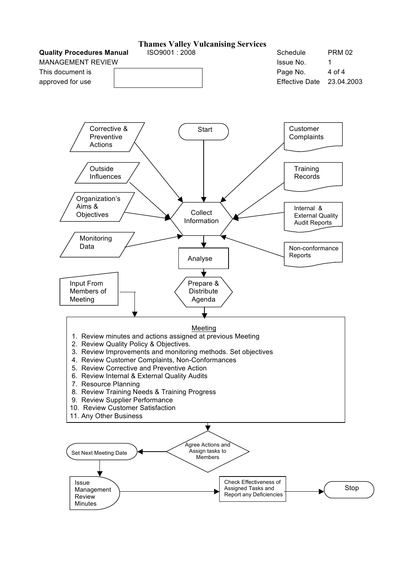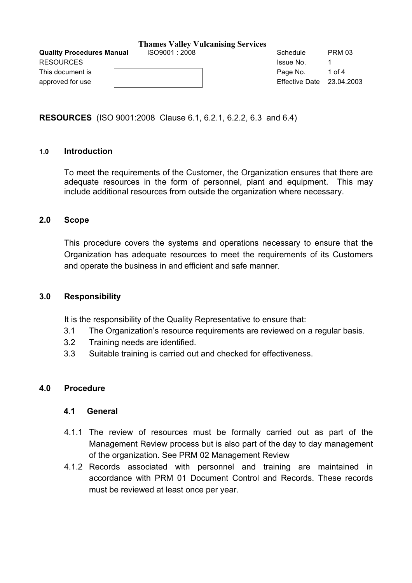|                                  | $\frac{1}{2}$ $\frac{1}{2}$ $\frac{1}{2}$ $\frac{1}{2}$ $\frac{1}{2}$ $\frac{1}{2}$ $\frac{1}{2}$ $\frac{1}{2}$ $\frac{1}{2}$ $\frac{1}{2}$ $\frac{1}{2}$ $\frac{1}{2}$ $\frac{1}{2}$ $\frac{1}{2}$ $\frac{1}{2}$ $\frac{1}{2}$ $\frac{1}{2}$ $\frac{1}{2}$ $\frac{1}{2}$ $\frac{1}{2}$ $\frac{1}{2}$ $\frac{1}{2}$ |                           |               |
|----------------------------------|---------------------------------------------------------------------------------------------------------------------------------------------------------------------------------------------------------------------------------------------------------------------------------------------------------------------|---------------------------|---------------|
| <b>Quality Procedures Manual</b> | ISO9001:2008                                                                                                                                                                                                                                                                                                        | Schedule                  | <b>PRM 03</b> |
| <b>RESOURCES</b>                 |                                                                                                                                                                                                                                                                                                                     | Issue No.                 |               |
| This document is                 |                                                                                                                                                                                                                                                                                                                     | Page No.                  | 1 of 4        |
| approved for use                 |                                                                                                                                                                                                                                                                                                                     | Effective Date 23.04.2003 |               |
|                                  |                                                                                                                                                                                                                                                                                                                     |                           |               |

**RESOURCES** (ISO 9001:2008 Clause 6.1, 6.2.1, 6.2.2, 6.3 and 6.4)

### **1.0 Introduction**

To meet the requirements of the Customer, the Organization ensures that there are adequate resources in the form of personnel, plant and equipment. This may include additional resources from outside the organization where necessary.

### **2.0 Scope**

This procedure covers the systems and operations necessary to ensure that the Organization has adequate resources to meet the requirements of its Customers and operate the business in and efficient and safe manner.

## **3.0 Responsibility**

It is the responsibility of the Quality Representative to ensure that:

- 3.1 The Organization's resource requirements are reviewed on a regular basis.
- 3.2 Training needs are identified.
- 3.3 Suitable training is carried out and checked for effectiveness.

## **4.0 Procedure**

## **4.1 General**

- 4.1.1 The review of resources must be formally carried out as part of the Management Review process but is also part of the day to day management of the organization. See PRM 02 Management Review
- 4.1.2 Records associated with personnel and training are maintained in accordance with PRM 01 Document Control and Records. These records must be reviewed at least once per year.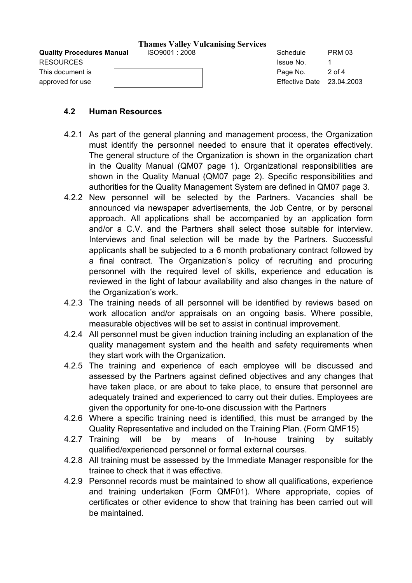| <b>Quality Procedures Manual</b><br>RESOURCES | ISO9001:2008 | Schedule<br>Issue No.                   | <b>PRM 03</b> |
|-----------------------------------------------|--------------|-----------------------------------------|---------------|
| This document is                              |              | Page No.<br>Effective Date $23.04.2003$ | 2 of 4        |
| approved for use                              |              |                                         |               |

## **4.2 Human Resources**

- 4.2.1 As part of the general planning and management process, the Organization must identify the personnel needed to ensure that it operates effectively. The general structure of the Organization is shown in the organization chart in the Quality Manual (QM07 page 1). Organizational responsibilities are shown in the Quality Manual (QM07 page 2). Specific responsibilities and authorities for the Quality Management System are defined in QM07 page 3.
- 4.2.2 New personnel will be selected by the Partners. Vacancies shall be announced via newspaper advertisements, the Job Centre, or by personal approach. All applications shall be accompanied by an application form and/or a C.V. and the Partners shall select those suitable for interview. Interviews and final selection will be made by the Partners. Successful applicants shall be subjected to a 6 month probationary contract followed by a final contract. The Organization's policy of recruiting and procuring personnel with the required level of skills, experience and education is reviewed in the light of labour availability and also changes in the nature of the Organization's work.
- 4.2.3 The training needs of all personnel will be identified by reviews based on work allocation and/or appraisals on an ongoing basis. Where possible, measurable objectives will be set to assist in continual improvement.
- 4.2.4 All personnel must be given induction training including an explanation of the quality management system and the health and safety requirements when they start work with the Organization.
- 4.2.5 The training and experience of each employee will be discussed and assessed by the Partners against defined objectives and any changes that have taken place, or are about to take place, to ensure that personnel are adequately trained and experienced to carry out their duties. Employees are given the opportunity for one-to-one discussion with the Partners
- 4.2.6 Where a specific training need is identified, this must be arranged by the Quality Representative and included on the Training Plan. (Form QMF15)
- 4.2.7 Training will be by means of In-house training by suitably qualified/experienced personnel or formal external courses.
- 4.2.8 All training must be assessed by the Immediate Manager responsible for the trainee to check that it was effective.
- 4.2.9 Personnel records must be maintained to show all qualifications, experience and training undertaken (Form QMF01). Where appropriate, copies of certificates or other evidence to show that training has been carried out will be maintained.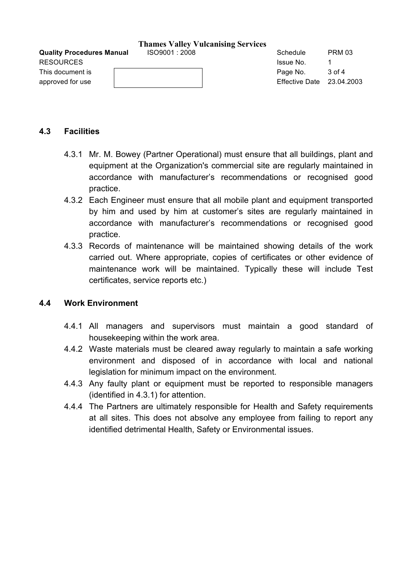**Quality Procedures Manual**  $1$  **ISO9001 : 2008** Schedule PRM 03 RESOURCES and the set of the set of the set of the set of the set of the set of the set of the set of the set of the set of the set of the set of the set of the set of the set of the set of the set of the set of the set of

This document is **Page No.** 3 of 4

approved for use Theorem 23.04.2003

### **4.3 Facilities**

- 4.3.1 Mr. M. Bowey (Partner Operational) must ensure that all buildings, plant and equipment at the Organization's commercial site are regularly maintained in accordance with manufacturer's recommendations or recognised good practice.
- 4.3.2 Each Engineer must ensure that all mobile plant and equipment transported by him and used by him at customer's sites are regularly maintained in accordance with manufacturer's recommendations or recognised good practice.
- 4.3.3 Records of maintenance will be maintained showing details of the work carried out. Where appropriate, copies of certificates or other evidence of maintenance work will be maintained. Typically these will include Test certificates, service reports etc.)

## **4.4 Work Environment**

- 4.4.1 All managers and supervisors must maintain a good standard of housekeeping within the work area.
- 4.4.2 Waste materials must be cleared away regularly to maintain a safe working environment and disposed of in accordance with local and national legislation for minimum impact on the environment.
- 4.4.3 Any faulty plant or equipment must be reported to responsible managers (identified in 4.3.1) for attention.
- 4.4.4 The Partners are ultimately responsible for Health and Safety requirements at all sites. This does not absolve any employee from failing to report any identified detrimental Health, Safety or Environmental issues.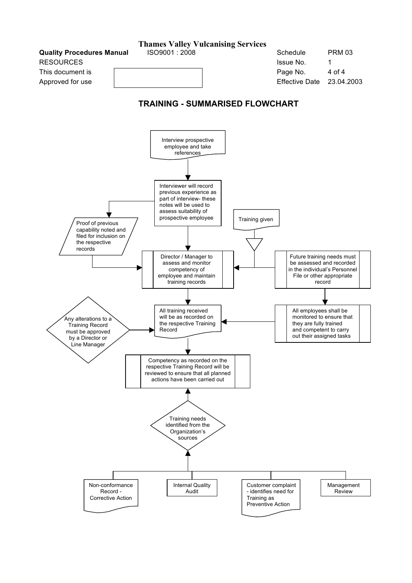**Quality Procedures Manual RESOURCES** 

This document is Approved for use

| Schedule              | PRM 03     |
|-----------------------|------------|
| Issue No.             | 1          |
| Page No.              | 4 of 4     |
| <b>Effective Date</b> | 23.04.2003 |

## **TRAINING - SUMMARISED FLOWCHART**

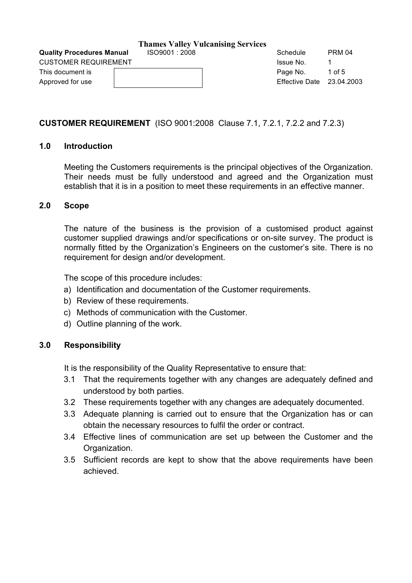## **CUSTOMER REQUIREMENT** (ISO 9001:2008 Clause 7.1, 7.2.1, 7.2.2 and 7.2.3)

## **1.0 Introduction**

Meeting the Customers requirements is the principal objectives of the Organization. Their needs must be fully understood and agreed and the Organization must establish that it is in a position to meet these requirements in an effective manner.

### **2.0 Scope**

The nature of the business is the provision of a customised product against customer supplied drawings and/or specifications or on-site survey. The product is normally fitted by the Organization's Engineers on the customer's site. There is no requirement for design and/or development.

The scope of this procedure includes:

- a) Identification and documentation of the Customer requirements.
- b) Review of these requirements.
- c) Methods of communication with the Customer.
- d) Outline planning of the work.

## **3.0 Responsibility**

It is the responsibility of the Quality Representative to ensure that:

- 3.1 That the requirements together with any changes are adequately defined and understood by both parties.
- 3.2 These requirements together with any changes are adequately documented.
- 3.3 Adequate planning is carried out to ensure that the Organization has or can obtain the necessary resources to fulfil the order or contract.
- 3.4 Effective lines of communication are set up between the Customer and the Organization.
- 3.5 Sufficient records are kept to show that the above requirements have been achieved.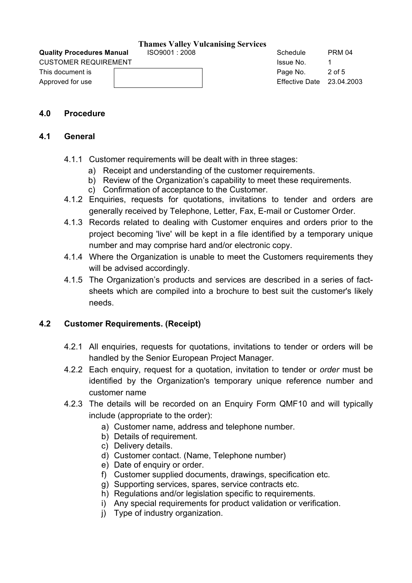**Quality Procedures Manual**  $1$  **ISO9001 : 2008** Schedule PRM 04

CUSTOMER REQUIREMENT **ISSUE ALCOHOLOGY CONSUMER REQUIREMENT** 

This document is **Page No.** 2 of 5 Approved for use Effective Date 23.04.2003

## **4.0 Procedure**

### **4.1 General**

- 4.1.1 Customer requirements will be dealt with in three stages:
	- a) Receipt and understanding of the customer requirements.
	- b) Review of the Organization's capability to meet these requirements.
	- c) Confirmation of acceptance to the Customer.
- 4.1.2 Enquiries, requests for quotations, invitations to tender and orders are generally received by Telephone, Letter, Fax, E-mail or Customer Order.
- 4.1.3 Records related to dealing with Customer enquires and orders prior to the project becoming 'live' will be kept in a file identified by a temporary unique number and may comprise hard and/or electronic copy.
- 4.1.4 Where the Organization is unable to meet the Customers requirements they will be advised accordingly.
- 4.1.5 The Organization's products and services are described in a series of factsheets which are compiled into a brochure to best suit the customer's likely needs.

## **4.2 Customer Requirements. (Receipt)**

- 4.2.1 All enquiries, requests for quotations, invitations to tender or orders will be handled by the Senior European Project Manager.
- 4.2.2 Each enquiry, request for a quotation, invitation to tender or *order* must be identified by the Organization's temporary unique reference number and customer name
- 4.2.3 The details will be recorded on an Enquiry Form QMF10 and will typically include (appropriate to the order):
	- a) Customer name, address and telephone number.
	- b) Details of requirement.
	- c) Delivery details.
	- d) Customer contact. (Name, Telephone number)
	- e) Date of enquiry or order.
	- f) Customer supplied documents, drawings, specification etc.
	- g) Supporting services, spares, service contracts etc.
	- h) Regulations and/or legislation specific to requirements.
	- i) Any special requirements for product validation or verification.
	- j) Type of industry organization.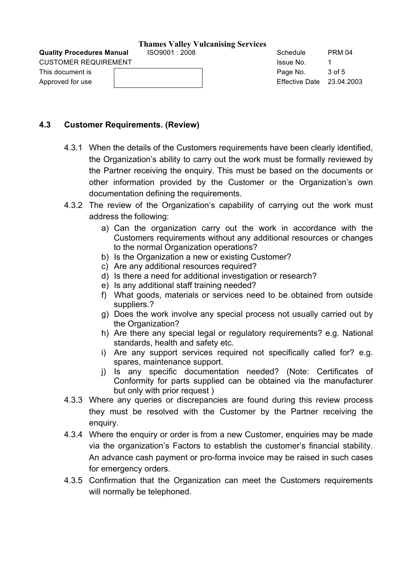**Quality Procedures Manual**  $1$  **ISO9001 : 2008** Schedule PRM 04 CUSTOMER REQUIREMENT **ISSUE ALCOHOLOGY CONSUMER REQUIREMENT** 

This document is **Page No.** 3 of 5 Approved for use Effective Date 23.04.2003

## **4.3 Customer Requirements. (Review)**

- 4.3.1 When the details of the Customers requirements have been clearly identified, the Organization's ability to carry out the work must be formally reviewed by the Partner receiving the enquiry. This must be based on the documents or other information provided by the Customer or the Organization's own documentation defining the requirements.
- 4.3.2 The review of the Organization's capability of carrying out the work must address the following:
	- a) Can the organization carry out the work in accordance with the Customers requirements without any additional resources or changes to the normal Organization operations?
	- b) Is the Organization a new or existing Customer?
	- c) Are any additional resources required?
	- d) Is there a need for additional investigation or research?
	- e) Is any additional staff training needed?
	- f) What goods, materials or services need to be obtained from outside suppliers.?
	- g) Does the work involve any special process not usually carried out by the Organization?
	- h) Are there any special legal or regulatory requirements? e.g. National standards, health and safety etc.
	- i) Are any support services required not specifically called for? e.g. spares, maintenance support.
	- j) Is any specific documentation needed? (Note: Certificates of Conformity for parts supplied can be obtained via the manufacturer but only with prior request)
- 4.3.3 Where any queries or discrepancies are found during this review process they must be resolved with the Customer by the Partner receiving the enquiry.
- 4.3.4 Where the enquiry or order is from a new Customer, enquiries may be made via the organization's Factors to establish the customer's financial stability. An advance cash payment or pro-forma invoice may be raised in such cases for emergency orders.
- 4.3.5 Confirmation that the Organization can meet the Customers requirements will normally be telephoned.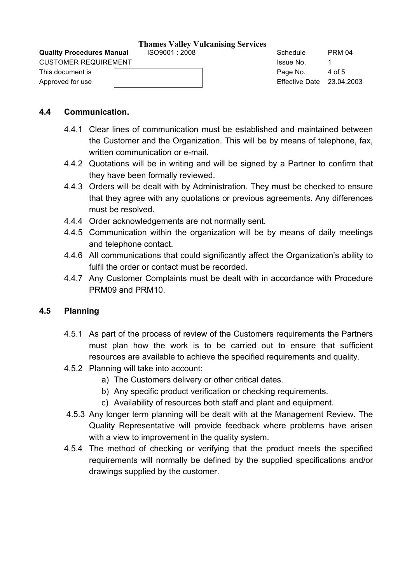| <b>CUSTOMER REQUIREMENT</b> | Issue No.                   |        |
|-----------------------------|-----------------------------|--------|
| This document is            | Page No.                    | 4 of 5 |
| Approved for use            | Effective Date $23.04.2003$ |        |

## **4.4 Communication.**

- 4.4.1 Clear lines of communication must be established and maintained between the Customer and the Organization. This will be by means of telephone, fax, written communication or e-mail.
- 4.4.2 Quotations will be in writing and will be signed by a Partner to confirm that they have been formally reviewed.
- 4.4.3 Orders will be dealt with by Administration. They must be checked to ensure that they agree with any quotations or previous agreements. Any differences must be resolved.
- 4.4.4 Order acknowledgements are not normally sent.
- 4.4.5 Communication within the organization will be by means of daily meetings and telephone contact.
- 4.4.6 All communications that could significantly affect the Organization's ability to fulfil the order or contact must be recorded.
- 4.4.7 Any Customer Complaints must be dealt with in accordance with Procedure PRM09 and PRM10.

## **4.5 Planning**

- 4.5.1 As part of the process of review of the Customers requirements the Partners must plan how the work is to be carried out to ensure that sufficient resources are available to achieve the specified requirements and quality.
- 4.5.2 Planning will take into account:
	- a) The Customers delivery or other critical dates.
	- b) Any specific product verification or checking requirements.
	- c) Availability of resources both staff and plant and equipment.
- 4.5.3 Any longer term planning will be dealt with at the Management Review. The Quality Representative will provide feedback where problems have arisen with a view to improvement in the quality system.
- 4.5.4 The method of checking or verifying that the product meets the specified requirements will normally be defined by the supplied specifications and/or drawings supplied by the customer.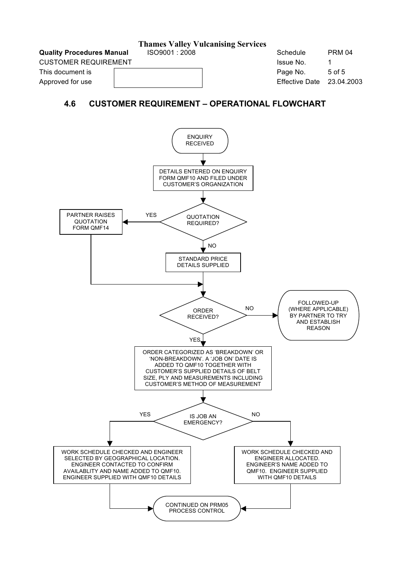**Quality Procedures Manual**  $1$  **ISO9001 : 2008** Schedule PRM 04

CUSTOMER REQUIREMENT **ISSUE NO.** 1 And 1 Apr 2 Apr 2 Apr 2 Apr 2 Apr 2 Apr 2 Apr 2 Apr 2 Apr 2 Apr 2 Apr 2 Apr 2 Apr 2 Apr 2 Apr 2 Apr 2 Apr 2 Apr 2 Apr 2 Apr 2 Apr 2 Apr 2 Apr 2 Apr 2 Apr 2 Apr 2 Apr 2 Apr 2 Apr 2 Apr 2 A

This document is **Page No.** 5 of 5

Approved for use The Communication Contract Communication Contract Communication Contract Communication Communication Communication Communication Communication Communication Communication Communication Communication Commun

## **4.6 CUSTOMER REQUIREMENT – OPERATIONAL FLOWCHART**

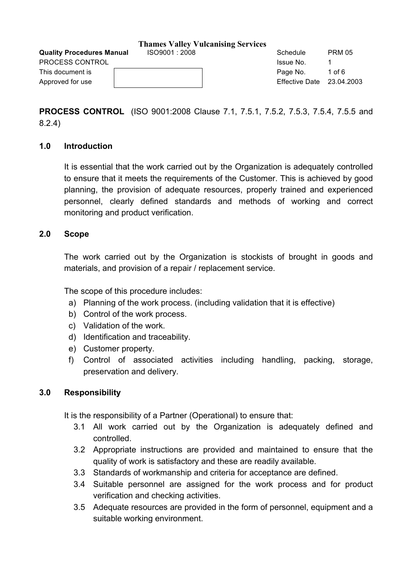|                                  | $\frac{1}{2}$  |                           |               |
|----------------------------------|----------------|---------------------------|---------------|
| <b>Quality Procedures Manual</b> | ISO9001 : 2008 | Schedule                  | <b>PRM 05</b> |
| <b>PROCESS CONTROL</b>           |                | Issue No.                 |               |
| This document is                 |                | Page No.                  | 1 of 6        |
| Approved for use                 |                | Effective Date 23.04.2003 |               |
|                                  |                |                           |               |

**PROCESS CONTROL** (ISO 9001:2008 Clause 7.1, 7.5.1, 7.5.2, 7.5.3, 7.5.4, 7.5.5 and 8.2.4)

## **1.0 Introduction**

It is essential that the work carried out by the Organization is adequately controlled to ensure that it meets the requirements of the Customer. This is achieved by good planning, the provision of adequate resources, properly trained and experienced personnel, clearly defined standards and methods of working and correct monitoring and product verification.

## **2.0 Scope**

The work carried out by the Organization is stockists of brought in goods and materials, and provision of a repair / replacement service.

The scope of this procedure includes:

- a) Planning of the work process. (including validation that it is effective)
- b) Control of the work process.
- c) Validation of the work.
- d) Identification and traceability.
- e) Customer property.
- f) Control of associated activities including handling, packing, storage, preservation and delivery.

## **3.0 Responsibility**

It is the responsibility of a Partner (Operational) to ensure that:

- 3.1 All work carried out by the Organization is adequately defined and controlled.
- 3.2 Appropriate instructions are provided and maintained to ensure that the quality of work is satisfactory and these are readily available.
- 3.3 Standards of workmanship and criteria for acceptance are defined.
- 3.4 Suitable personnel are assigned for the work process and for product verification and checking activities.
- 3.5 Adequate resources are provided in the form of personnel, equipment and a suitable working environment.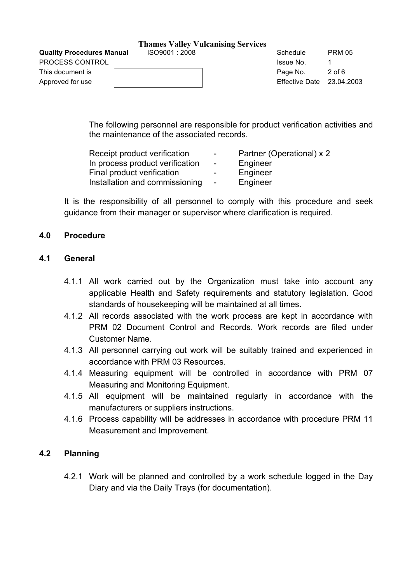#### **Thames Valley Vulcanising Services**

| <b>Quality Procedures Manual</b> | ISO9001:2008 | - | Schedule                         | <b>PRM 05</b> |
|----------------------------------|--------------|---|----------------------------------|---------------|
| PROCESS CONTROL                  |              |   | Issue No.                        |               |
| This document is                 |              |   | Page No.                         | $2$ of 6      |
| Approved for use                 |              |   | <b>Effective Date</b> 23.04.2003 |               |
|                                  |              |   |                                  |               |

The following personnel are responsible for product verification activities and the maintenance of the associated records.

| Receipt product verification    | $\sim$                   | Partner (Operational) x 2 |
|---------------------------------|--------------------------|---------------------------|
| In process product verification | $\sim$                   | Engineer                  |
| Final product verification      | $\overline{\phantom{a}}$ | Engineer                  |
| Installation and commissioning  | $\sim$                   | Engineer                  |

It is the responsibility of all personnel to comply with this procedure and seek guidance from their manager or supervisor where clarification is required.

## **4.0 Procedure**

#### **4.1 General**

- 4.1.1 All work carried out by the Organization must take into account any applicable Health and Safety requirements and statutory legislation. Good standards of housekeeping will be maintained at all times.
- 4.1.2 All records associated with the work process are kept in accordance with PRM 02 Document Control and Records. Work records are filed under Customer Name.
- 4.1.3 All personnel carrying out work will be suitably trained and experienced in accordance with PRM 03 Resources.
- 4.1.4 Measuring equipment will be controlled in accordance with PRM 07 Measuring and Monitoring Equipment.
- 4.1.5 All equipment will be maintained regularly in accordance with the manufacturers or suppliers instructions.
- 4.1.6 Process capability will be addresses in accordance with procedure PRM 11 Measurement and Improvement.

## **4.2 Planning**

4.2.1 Work will be planned and controlled by a work schedule logged in the Day Diary and via the Daily Trays (for documentation).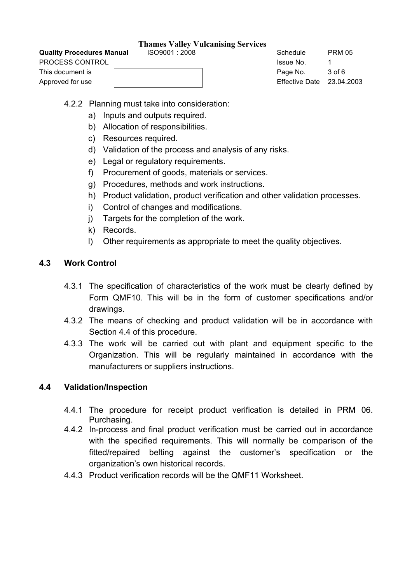## **Quality Procedures Manual**  $1$  **ISO9001 : 2008** Schedule PRM 05

| PROCESS CONTROL  | Issue No.                 |        |
|------------------|---------------------------|--------|
| This document is | Page No.                  | 3 of 6 |
| Approved for use | Effective Date 23.04.2003 |        |

4.2.2 Planning must take into consideration:

- a) Inputs and outputs required.
- b) Allocation of responsibilities.
- c) Resources required.
- d) Validation of the process and analysis of any risks.
- e) Legal or regulatory requirements.
- f) Procurement of goods, materials or services.
- g) Procedures, methods and work instructions.
- h) Product validation, product verification and other validation processes.
- i) Control of changes and modifications.
- j) Targets for the completion of the work.
- k) Records.
- l) Other requirements as appropriate to meet the quality objectives.

## **4.3 Work Control**

- 4.3.1 The specification of characteristics of the work must be clearly defined by Form QMF10. This will be in the form of customer specifications and/or drawings.
- 4.3.2 The means of checking and product validation will be in accordance with Section 4.4 of this procedure.
- 4.3.3 The work will be carried out with plant and equipment specific to the Organization. This will be regularly maintained in accordance with the manufacturers or suppliers instructions.

## **4.4 Validation/Inspection**

- 4.4.1 The procedure for receipt product verification is detailed in PRM 06. Purchasing.
- 4.4.2 In-process and final product verification must be carried out in accordance with the specified requirements. This will normally be comparison of the fitted/repaired belting against the customer's specification or the organization's own historical records.
- 4.4.3 Product verification records will be the QMF11 Worksheet.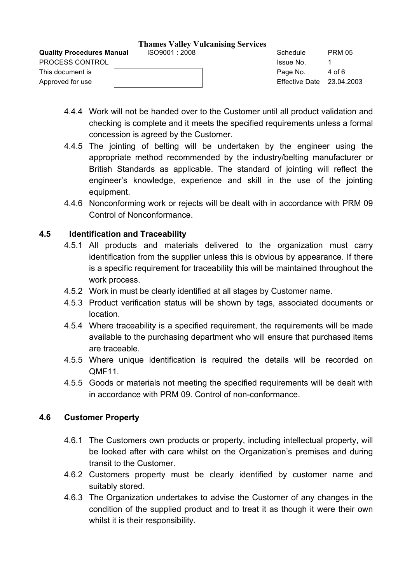**Quality Procedur** PROCESS CONT This document is

#### **Thames Valley Vulcanising Services**

| <b>Quality Procedures Manual</b> | ISO9001:2008 | Schedule                    | <b>PRM 05</b> |  |
|----------------------------------|--------------|-----------------------------|---------------|--|
| PROCESS CONTROL                  |              | Issue No.                   |               |  |
| This document is                 |              | Page No.                    | 4 of 6        |  |
| Approved for use                 |              | Effective Date $23.04.2003$ |               |  |

- 4.4.4 Work will not be handed over to the Customer until all product validation and checking is complete and it meets the specified requirements unless a formal concession is agreed by the Customer.
- 4.4.5 The jointing of belting will be undertaken by the engineer using the appropriate method recommended by the industry/belting manufacturer or British Standards as applicable. The standard of jointing will reflect the engineer's knowledge, experience and skill in the use of the jointing equipment.
- 4.4.6 Nonconforming work or rejects will be dealt with in accordance with PRM 09 Control of Nonconformance.

## **4.5 Identification and Traceability**

- 4.5.1 All products and materials delivered to the organization must carry identification from the supplier unless this is obvious by appearance. If there is a specific requirement for traceability this will be maintained throughout the work process.
- 4.5.2 Work in must be clearly identified at all stages by Customer name.
- 4.5.3 Product verification status will be shown by tags, associated documents or location.
- 4.5.4 Where traceability is a specified requirement, the requirements will be made available to the purchasing department who will ensure that purchased items are traceable.
- 4.5.5 Where unique identification is required the details will be recorded on QMF11.
- 4.5.5 Goods or materials not meeting the specified requirements will be dealt with in accordance with PRM 09. Control of non-conformance.

## **4.6 Customer Property**

- 4.6.1 The Customers own products or property, including intellectual property, will be looked after with care whilst on the Organization's premises and during transit to the Customer.
- 4.6.2 Customers property must be clearly identified by customer name and suitably stored.
- 4.6.3 The Organization undertakes to advise the Customer of any changes in the condition of the supplied product and to treat it as though it were their own whilst it is their responsibility.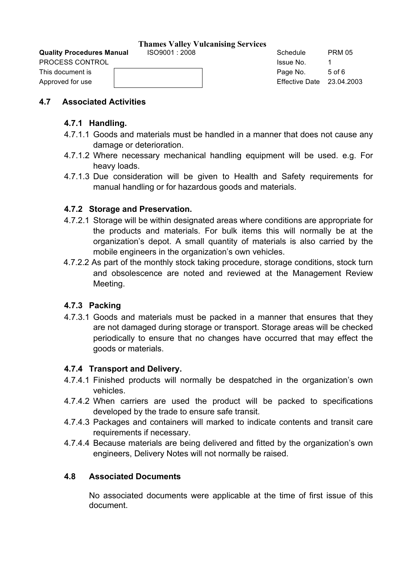**Quality Procedures Manual**  $1$  **ISO9001 : 2008** Schedule PRM 05 PROCESS CONTROL **ISSUE NO.** 1 And 1 April 2012 1 April 2013 1 April 2013 1 April 2014 1 April 2014 1 April 2014

This document is **Example 2 Page No.** 5 of 6 Approved for use Theory is a set of the Contract of the Effective Date 23.04.2003

## **4.7 Associated Activities**

## **4.7.1 Handling.**

- 4.7.1.1 Goods and materials must be handled in a manner that does not cause any damage or deterioration.
- 4.7.1.2 Where necessary mechanical handling equipment will be used. e.g. For heavy loads.
- 4.7.1.3 Due consideration will be given to Health and Safety requirements for manual handling or for hazardous goods and materials.

## **4.7.2 Storage and Preservation.**

- 4.7.2.1 Storage will be within designated areas where conditions are appropriate for the products and materials. For bulk items this will normally be at the organization's depot. A small quantity of materials is also carried by the mobile engineers in the organization's own vehicles.
- 4.7.2.2 As part of the monthly stock taking procedure, storage conditions, stock turn and obsolescence are noted and reviewed at the Management Review Meeting.

## **4.7.3 Packing**

4.7.3.1 Goods and materials must be packed in a manner that ensures that they are not damaged during storage or transport. Storage areas will be checked periodically to ensure that no changes have occurred that may effect the goods or materials.

## **4.7.4 Transport and Delivery.**

- 4.7.4.1 Finished products will normally be despatched in the organization's own vehicles.
- 4.7.4.2 When carriers are used the product will be packed to specifications developed by the trade to ensure safe transit.
- 4.7.4.3 Packages and containers will marked to indicate contents and transit care requirements if necessary.
- 4.7.4.4 Because materials are being delivered and fitted by the organization's own engineers, Delivery Notes will not normally be raised.

## **4.8 Associated Documents**

No associated documents were applicable at the time of first issue of this document.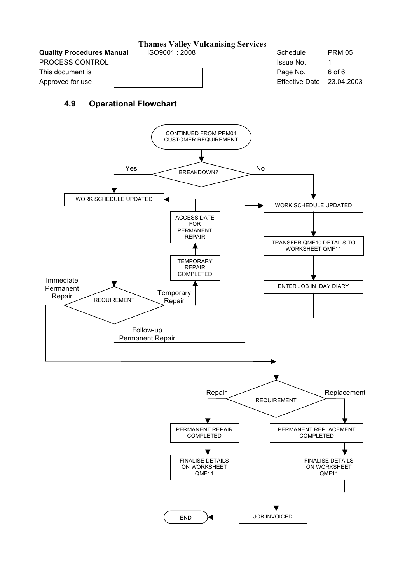**Thames Valley Vulcanising Services Quality Procedures Manual ISO9001 : 2008** Schedule PRM 05 PROCESS CONTROL **ISSUE NO.** 1 and 1 and 2 and 2 and 2 and 2 and 2 and 2 and 2 and 2 and 2 and 2 and 2 and 2 and 2 and 2 and 2 and 2 and 2 and 2 and 2 and 2 and 2 and 2 and 2 and 2 and 2 and 2 and 2 and 2 and 2 and 2 and 2 This document is Page No. 6 of 6 Approved for use The Community Community Community Community Community Community Community Community Community Community Community Community Community Community Community Community Community Community Community Community C

## **4.9 Operational Flowchart**

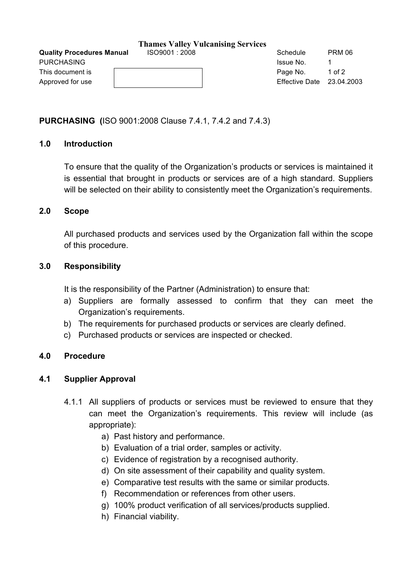| <b>Quality Procedures Manual</b> | ISO9001:2008 | Schedule                  | <b>PRM 06</b> |
|----------------------------------|--------------|---------------------------|---------------|
| PURCHASING                       |              | <b>Issue No.</b>          |               |
| This document is                 |              | Page No.                  | 1 of 2        |
| Approved for use                 |              | Effective Date 23.04.2003 |               |
|                                  |              |                           |               |

## **PURCHASING (**ISO 9001:2008 Clause 7.4.1, 7.4.2 and 7.4.3)

## **1.0 Introduction**

To ensure that the quality of the Organization's products or services is maintained it is essential that brought in products or services are of a high standard. Suppliers will be selected on their ability to consistently meet the Organization's requirements.

#### **2.0 Scope**

All purchased products and services used by the Organization fall within the scope of this procedure.

### **3.0 Responsibility**

It is the responsibility of the Partner (Administration) to ensure that:

- a) Suppliers are formally assessed to confirm that they can meet the Organization's requirements.
- b) The requirements for purchased products or services are clearly defined.
- c) Purchased products or services are inspected or checked.

#### **4.0 Procedure**

## **4.1 Supplier Approval**

- 4.1.1 All suppliers of products or services must be reviewed to ensure that they can meet the Organization's requirements. This review will include (as appropriate):
	- a) Past history and performance.
	- b) Evaluation of a trial order, samples or activity.
	- c) Evidence of registration by a recognised authority.
	- d) On site assessment of their capability and quality system.
	- e) Comparative test results with the same or similar products.
	- f) Recommendation or references from other users.
	- g) 100% product verification of all services/products supplied.
	- h) Financial viability.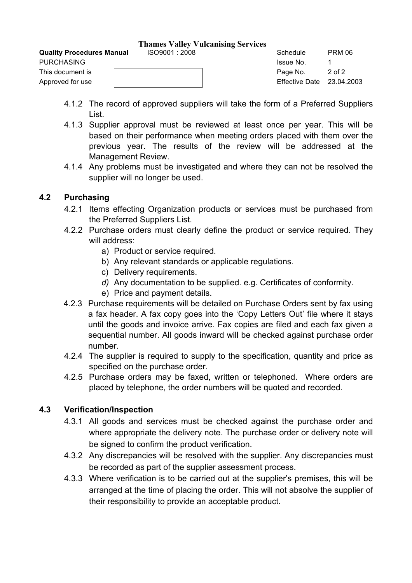Approved for use Theory is a set of the Contract of the Effective Date 23.04.2003

- 4.1.2 The record of approved suppliers will take the form of a Preferred Suppliers List.
- 4.1.3 Supplier approval must be reviewed at least once per year. This will be based on their performance when meeting orders placed with them over the previous year. The results of the review will be addressed at the Management Review.
- 4.1.4 Any problems must be investigated and where they can not be resolved the supplier will no longer be used.

## **4.2 Purchasing**

- 4.2.1 Items effecting Organization products or services must be purchased from the Preferred Suppliers List.
- 4.2.2 Purchase orders must clearly define the product or service required. They will address:
	- a) Product or service required.
	- b) Any relevant standards or applicable regulations.
	- c) Delivery requirements.
	- *d)* Any documentation to be supplied. e.g. Certificates of conformity.
	- e) Price and payment details.
- 4.2.3 Purchase requirements will be detailed on Purchase Orders sent by fax using a fax header. A fax copy goes into the 'Copy Letters Out' file where it stays until the goods and invoice arrive. Fax copies are filed and each fax given a sequential number. All goods inward will be checked against purchase order number.
- 4.2.4 The supplier is required to supply to the specification, quantity and price as specified on the purchase order.
- 4.2.5 Purchase orders may be faxed, written or telephoned. Where orders are placed by telephone, the order numbers will be quoted and recorded.

## **4.3 Verification/Inspection**

- 4.3.1 All goods and services must be checked against the purchase order and where appropriate the delivery note. The purchase order or delivery note will be signed to confirm the product verification.
- 4.3.2 Any discrepancies will be resolved with the supplier. Any discrepancies must be recorded as part of the supplier assessment process.
- 4.3.3 Where verification is to be carried out at the supplier's premises, this will be arranged at the time of placing the order. This will not absolve the supplier of their responsibility to provide an acceptable product.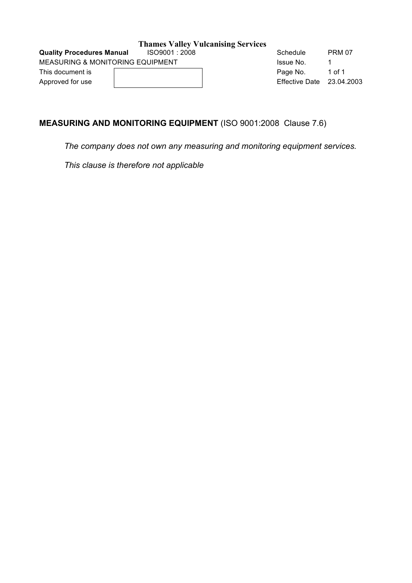MEASURING & MONITORING EQUIPMENT **ISSUE NO.** 1

This document is a community of the Page No. 1 of 1 Approved for use Effective Date 23.04.2003

**Quality Procedures Manual ISO9001 : 2008** Schedule PRM 07

## **MEASURING AND MONITORING EQUIPMENT** (ISO 9001:2008 Clause 7.6)

*The company does not own any measuring and monitoring equipment services.* 

*This clause is therefore not applicable*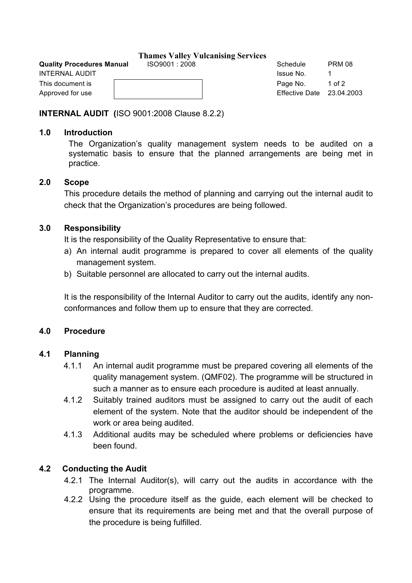#### **Quality Procedures Manual**  $1$  **ISO9001 : 2008** Schedule PRM 08

| <b>INTERNAL AUDIT</b> | Issue No.             |        |
|-----------------------|-----------------------|--------|
| This document is      | Page No.              | 1 of 2 |
| Approved for use      | Effective Date 23.04. |        |

Approved for use Effective Date 23.04.2003

## **INTERNAL AUDIT (**ISO 9001:2008 Clause 8.2.2)

## **1.0 Introduction**

The Organization's quality management system needs to be audited on a systematic basis to ensure that the planned arrangements are being met in practice.

## **2.0 Scope**

This procedure details the method of planning and carrying out the internal audit to check that the Organization's procedures are being followed.

## **3.0 Responsibility**

It is the responsibility of the Quality Representative to ensure that:

- a) An internal audit programme is prepared to cover all elements of the quality management system.
- b) Suitable personnel are allocated to carry out the internal audits.

It is the responsibility of the Internal Auditor to carry out the audits, identify any nonconformances and follow them up to ensure that they are corrected.

## **4.0 Procedure**

## **4.1 Planning**

- 4.1.1 An internal audit programme must be prepared covering all elements of the quality management system. (QMF02). The programme will be structured in such a manner as to ensure each procedure is audited at least annually.
- 4.1.2 Suitably trained auditors must be assigned to carry out the audit of each element of the system. Note that the auditor should be independent of the work or area being audited.
- 4.1.3 Additional audits may be scheduled where problems or deficiencies have been found.

## **4.2 Conducting the Audit**

- 4.2.1 The Internal Auditor(s), will carry out the audits in accordance with the programme.
- 4.2.2 Using the procedure itself as the guide, each element will be checked to ensure that its requirements are being met and that the overall purpose of the procedure is being fulfilled.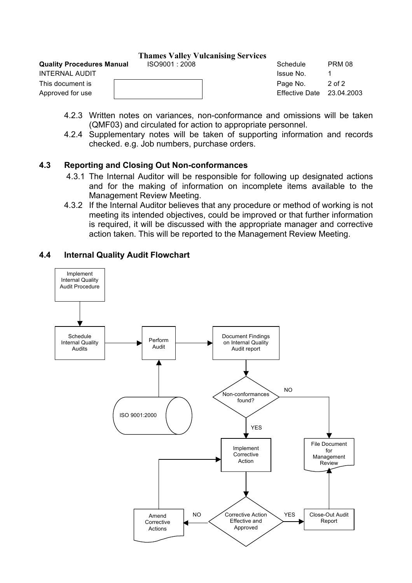## **Quality Procedures Manual**  $1$  **ISO9001 : 2008** Schedule PRM 08

| INTERNAL AUDIT   | Issue No.                 |        |
|------------------|---------------------------|--------|
| This document is | Page No.                  | 2 of 2 |
| Approved for use | Effective Date 23.04.2003 |        |

- 4.2.3 Written notes on variances, non-conformance and omissions will be taken (QMF03) and circulated for action to appropriate personnel.
- 4.2.4 Supplementary notes will be taken of supporting information and records checked. e.g. Job numbers, purchase orders.

## **4.3 Reporting and Closing Out Non-conformances**

- 4.3.1 The Internal Auditor will be responsible for following up designated actions and for the making of information on incomplete items available to the Management Review Meeting.
- 4.3.2 If the Internal Auditor believes that any procedure or method of working is not meeting its intended objectives, could be improved or that further information is required, it will be discussed with the appropriate manager and corrective action taken. This will be reported to the Management Review Meeting.

## **4.4 Internal Quality Audit Flowchart**

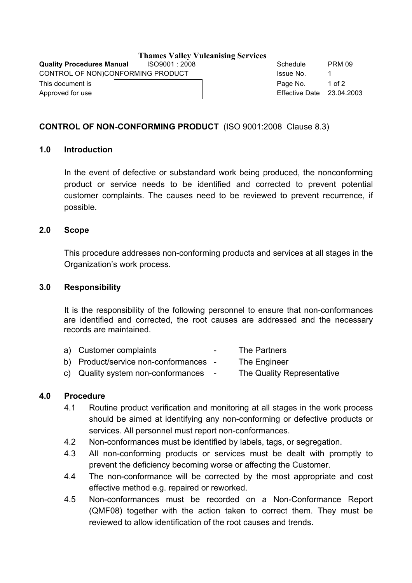**Quality Procedures Manual**  $1$  **ISO9001 : 2008** Schedule PRM 09 CONTROL OF NON)CONFORMING PRODUCT THE STATE RESIDENCE. The STATE RESIDENCE ASSAULT ASSAULT ASSAULT OF A STATE OF A STATE OF A STATE OF A STATE OF A STATE OF A STATE OF A STATE OF A STATE OF A STATE OF A STATE OF A STATE OF This document is **Example 2** of 2 and 2 of 2 and 2 and 2 and 2 and 2 and 2 and 2 and 2 and 2 and 2 and 2 and 2 and 2 and 2 and 2 and 2 and 2 and 2 and 2 and 2 and 2 and 2 and 2 and 2 and 2 and 2 and 2 and 2 and 2 and 2 and

Approved for use Effective Date 23.04.2003

## **CONTROL OF NON-CONFORMING PRODUCT** (ISO 9001:2008 Clause 8.3)

## **1.0 Introduction**

In the event of defective or substandard work being produced, the nonconforming product or service needs to be identified and corrected to prevent potential customer complaints. The causes need to be reviewed to prevent recurrence, if possible.

## **2.0 Scope**

This procedure addresses non-conforming products and services at all stages in the Organization's work process.

### **3.0 Responsibility**

It is the responsibility of the following personnel to ensure that non-conformances are identified and corrected, the root causes are addressed and the necessary records are maintained.

| a) Customer complaints                | $\sim$ | The Partners               |
|---------------------------------------|--------|----------------------------|
| b) Product/service non-conformances - |        | The Engineer               |
| c) Quality system non-conformances -  |        | The Quality Representative |

## **4.0 Procedure**

- 4.1 Routine product verification and monitoring at all stages in the work process should be aimed at identifying any non-conforming or defective products or services. All personnel must report non-conformances.
- 4.2 Non-conformances must be identified by labels, tags, or segregation.
- 4.3 All non-conforming products or services must be dealt with promptly to prevent the deficiency becoming worse or affecting the Customer.
- 4.4 The non-conformance will be corrected by the most appropriate and cost effective method e.g. repaired or reworked.
- 4.5 Non-conformances must be recorded on a Non-Conformance Report (QMF08) together with the action taken to correct them. They must be reviewed to allow identification of the root causes and trends.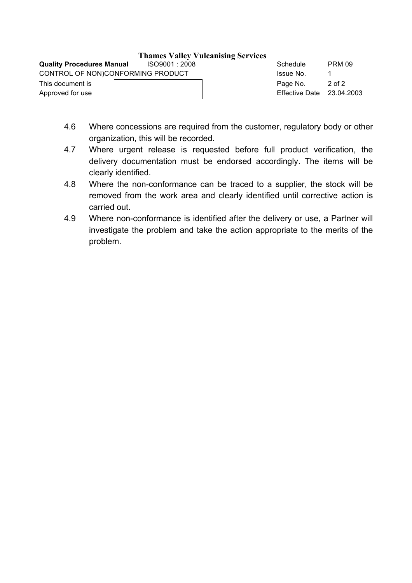| <b>Quality Procedures Manual</b>  | ISO9001 : 2008 | Schedule                    | <b>PRM 09</b> |
|-----------------------------------|----------------|-----------------------------|---------------|
| CONTROL OF NON)CONFORMING PRODUCT |                | Issue No.                   |               |
| This document is                  |                | Page No.                    | 2 of 2        |
| Approved for use                  |                | Effective Date $23.04.2003$ |               |

- 4.6 Where concessions are required from the customer, regulatory body or other organization, this will be recorded.
- 4.7 Where urgent release is requested before full product verification, the delivery documentation must be endorsed accordingly. The items will be clearly identified.
- 4.8 Where the non-conformance can be traced to a supplier, the stock will be removed from the work area and clearly identified until corrective action is carried out.
- 4.9 Where non-conformance is identified after the delivery or use, a Partner will investigate the problem and take the action appropriate to the merits of the problem.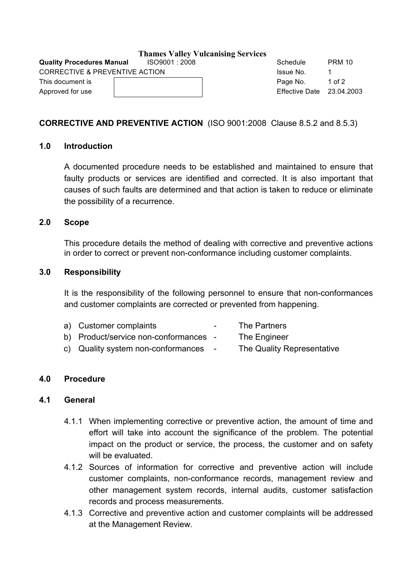|                                  |              | <b>Thames Valley Vulcanising Services</b> |
|----------------------------------|--------------|-------------------------------------------|
| <b>Quality Procedures Manual</b> | ISO9001:2008 |                                           |
| CORRECTIVE & PREVENTIVE ACTION   |              |                                           |
| This document is                 |              |                                           |
| Approved for use                 |              |                                           |

Schedule PRM 10 Issue No. 1 Page No. 1 of 2 Effective Date  $23.04.2003$ 

## **CORRECTIVE AND PREVENTIVE ACTION** (ISO 9001:2008 Clause 8.5.2 and 8.5.3)

### **1.0 Introduction**

A documented procedure needs to be established and maintained to ensure that faulty products or services are identified and corrected. It is also important that causes of such faults are determined and that action is taken to reduce or eliminate the possibility of a recurrence.

### **2.0 Scope**

This procedure details the method of dealing with corrective and preventive actions in order to correct or prevent non-conformance including customer complaints.

### **3.0 Responsibility**

It is the responsibility of the following personnel to ensure that non-conformances and customer complaints are corrected or prevented from happening.

| a) Customer complaints                | $\sim$ 100 $\sim$ | The Partners               |
|---------------------------------------|-------------------|----------------------------|
| b) Product/service non-conformances - |                   | The Engineer               |
| c) Quality system non-conformances    | $\sim 100$        | The Quality Representative |

## **4.0 Procedure**

## **4.1 General**

- 4.1.1 When implementing corrective or preventive action, the amount of time and effort will take into account the significance of the problem. The potential impact on the product or service, the process, the customer and on safety will be evaluated.
- 4.1.2 Sources of information for corrective and preventive action will include customer complaints, non-conformance records, management review and other management system records, internal audits, customer satisfaction records and process measurements.
- 4.1.3 Corrective and preventive action and customer complaints will be addressed at the Management Review.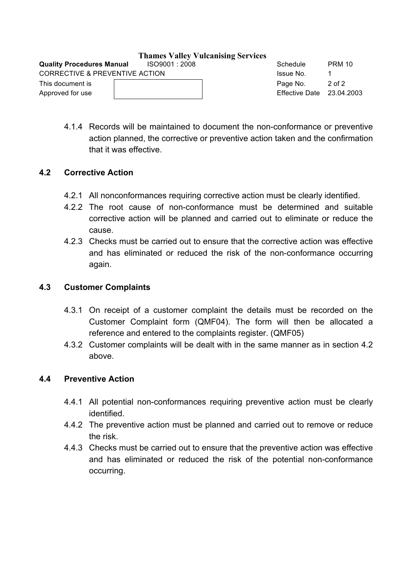| CORRECTIVE & PREVENTIVE ACTION | ISSUE NO.             |        |
|--------------------------------|-----------------------|--------|
| This document is               | Page No.              | 2 of 2 |
| Approved for use               | Effective Date 23.04. |        |
|                                |                       |        |

Approved for use The Communication Communication Communication Communication Communication Communication Communication Communication Communication Communication Communication Communication Communication Communication Commu

4.1.4 Records will be maintained to document the non-conformance or preventive action planned, the corrective or preventive action taken and the confirmation that it was effective.

## **4.2 Corrective Action**

- 4.2.1 All nonconformances requiring corrective action must be clearly identified.
- 4.2.2 The root cause of non-conformance must be determined and suitable corrective action will be planned and carried out to eliminate or reduce the cause.
- 4.2.3 Checks must be carried out to ensure that the corrective action was effective and has eliminated or reduced the risk of the non-conformance occurring again.

## **4.3 Customer Complaints**

- 4.3.1 On receipt of a customer complaint the details must be recorded on the Customer Complaint form (QMF04). The form will then be allocated a reference and entered to the complaints register. (QMF05)
- 4.3.2 Customer complaints will be dealt with in the same manner as in section 4.2 above.

## **4.4 Preventive Action**

- 4.4.1 All potential non-conformances requiring preventive action must be clearly identified.
- 4.4.2 The preventive action must be planned and carried out to remove or reduce the risk.
- 4.4.3 Checks must be carried out to ensure that the preventive action was effective and has eliminated or reduced the risk of the potential non-conformance occurring.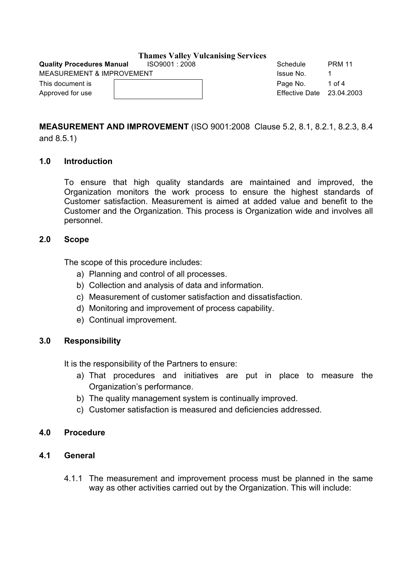**Quality Procedures Manual**  $1$  **ISO9001 : 2008** Schedule PRM 11

MEASUREMENT & IMPROVEMENT **ISSUE ASSESSMENT** and the set of the set of the set of the set of the set of the set o

| MEASUREMENT & IMPROVEMENT | ISSUE NO.                   |        |
|---------------------------|-----------------------------|--------|
| This document is          | Page No.                    | 1 of 4 |
| Approved for use          | Effective Date $23.04.2003$ |        |
|                           |                             |        |

# **MEASUREMENT AND IMPROVEMENT** (ISO 9001:2008 Clause 5.2, 8.1, 8.2.1, 8.2.3, 8.4

and 8.5.1)

## **1.0 Introduction**

To ensure that high quality standards are maintained and improved, the Organization monitors the work process to ensure the highest standards of Customer satisfaction. Measurement is aimed at added value and benefit to the Customer and the Organization. This process is Organization wide and involves all personnel.

## **2.0 Scope**

The scope of this procedure includes:

- a) Planning and control of all processes.
- b) Collection and analysis of data and information.
- c) Measurement of customer satisfaction and dissatisfaction.
- d) Monitoring and improvement of process capability.
- e) Continual improvement.

## **3.0 Responsibility**

It is the responsibility of the Partners to ensure:

- a) That procedures and initiatives are put in place to measure the Organization's performance.
- b) The quality management system is continually improved.
- c) Customer satisfaction is measured and deficiencies addressed.

## **4.0 Procedure**

- **4.1 General**
	- 4.1.1 The measurement and improvement process must be planned in the same way as other activities carried out by the Organization. This will include: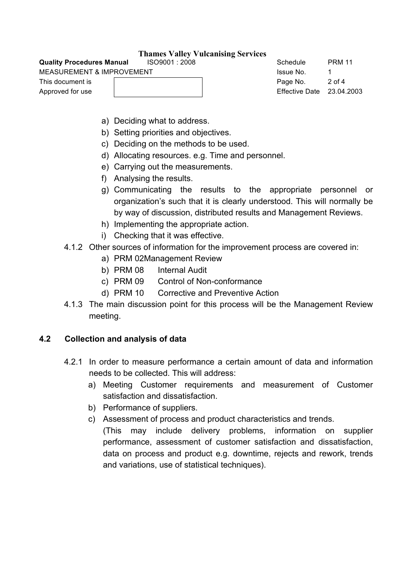| <b>Quality Procedures Manual</b>     | ISO9001:2008 |  |
|--------------------------------------|--------------|--|
| <b>MEASUREMENT &amp; IMPROVEMENT</b> |              |  |
| This document is                     |              |  |
| Approved for use                     |              |  |
|                                      |              |  |

Schedule PRM 11 Issue No. 1 Page No. 2 of 4 Effective Date 23.04.2003

- a) Deciding what to address.
- b) Setting priorities and objectives.
- c) Deciding on the methods to be used.
- d) Allocating resources. e.g. Time and personnel.
- e) Carrying out the measurements.
- f) Analysing the results.
- g) Communicating the results to the appropriate personnel or organization's such that it is clearly understood. This will normally be by way of discussion, distributed results and Management Reviews.
- h) Implementing the appropriate action.
- i) Checking that it was effective.
- 4.1.2 Other sources of information for the improvement process are covered in:
	- a) PRM 02Management Review
	- b) PRM 08 Internal Audit
	- c) PRM 09 Control of Non-conformance
	- d) PRM 10 Corrective and Preventive Action
- 4.1.3 The main discussion point for this process will be the Management Review meeting.

## **4.2 Collection and analysis of data**

- 4.2.1 In order to measure performance a certain amount of data and information needs to be collected. This will address:
	- a) Meeting Customer requirements and measurement of Customer satisfaction and dissatisfaction.
	- b) Performance of suppliers.
	- c) Assessment of process and product characteristics and trends.
		- (This may include delivery problems, information on supplier performance, assessment of customer satisfaction and dissatisfaction, data on process and product e.g. downtime, rejects and rework, trends and variations, use of statistical techniques).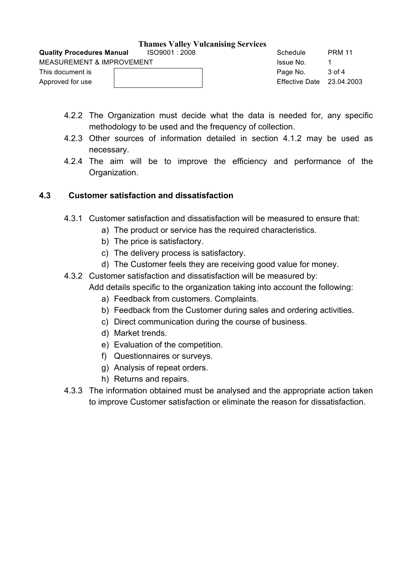| <b>Quality Procedures Manual</b> | ISO9001 : 2008 |  | Schedule                  | <b>PRM 11</b> |
|----------------------------------|----------------|--|---------------------------|---------------|
| MEASUREMENT & IMPROVEMENT        |                |  | Issue No.                 |               |
| This document is                 |                |  | Page No.                  | 3 of 4        |
| Approved for use                 |                |  | Effective Date 23.04.2003 |               |
|                                  |                |  |                           |               |

- 4.2.2 The Organization must decide what the data is needed for, any specific methodology to be used and the frequency of collection.
- 4.2.3 Other sources of information detailed in section 4.1.2 may be used as necessary.
- 4.2.4 The aim will be to improve the efficiency and performance of the Organization.

## **4.3 Customer satisfaction and dissatisfaction**

- 4.3.1 Customer satisfaction and dissatisfaction will be measured to ensure that:
	- a) The product or service has the required characteristics.
	- b) The price is satisfactory.
	- c) The delivery process is satisfactory.
	- d) The Customer feels they are receiving good value for money.
- 4.3.2 Customer satisfaction and dissatisfaction will be measured by: Add details specific to the organization taking into account the following:
	- a) Feedback from customers. Complaints.
	- b) Feedback from the Customer during sales and ordering activities.
	- c) Direct communication during the course of business.
	- d) Market trends.
	- e) Evaluation of the competition.
	- f) Questionnaires or surveys.
	- g) Analysis of repeat orders.
	- h) Returns and repairs.
- 4.3.3 The information obtained must be analysed and the appropriate action taken to improve Customer satisfaction or eliminate the reason for dissatisfaction.